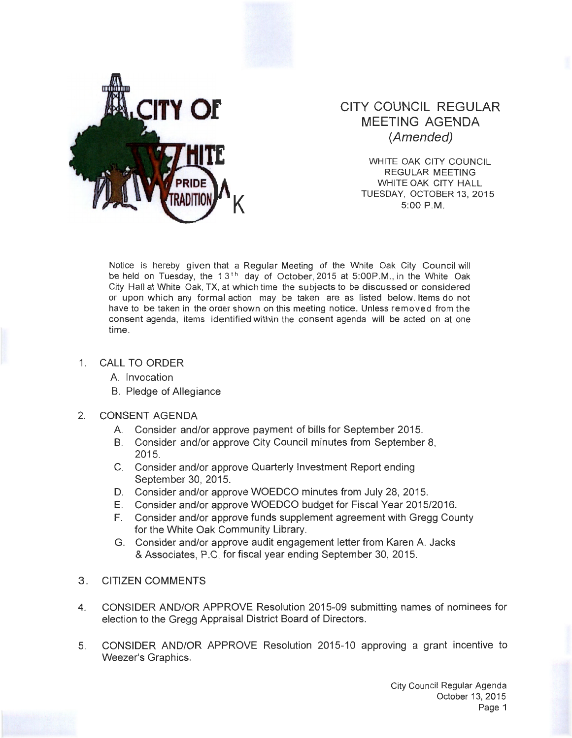

## CITY COUNCIL REGULAR MEETING AGENDA (Amended)

WHITE OAK CITY COUNCIL REGULAR MEETING WHITE OAK CITY HALL TUESDAY, OCTOBER 13, 2015<br>5:00 P.M.

Notice is hereby given that a Regular Meeting of the White Oak City Council will be held on Tuesday, the  $13<sup>th</sup>$  day of October, 2015 at 5:00P.M., in the White Oak City Hall at White Oak, TX, at which time the subjects to be discussed or considered or upon which any formal action may be taken are as listed below. Items do not have to be taken in the order shown on this meeting notice. Unless removed from the consent agenda, items identified within the consent agenda will be acted on at one time.

- 1. CALL TO ORDER
	- A. Invocation
	- B. Pledge of Allegiance
- 2. CONSENT AGENDA
	- A. Consider and/or approve payment of bills for September 2015.
	- B. Consider and/or approve City Council minutes from September 8, 2015.
	- C. Consider and/or approve Quarterly Investment Report ending September 30, 2015.
	- D. Consider and/or approve WOEDCO minutes from July 28, 2015.
	- E. Consider and/or approve WOEDCO budget for Fiscal Year 2015/2016.
	- F. Consider and/or approve funds supplement agreement with Gregg County for the White Oak Community Library.
	- G. Consider and/or approve audit engagement letter from Karen A. Jacks & Associates, P.C. for fiscal year ending September 30, 2015.
- 3. CITIZEN COMMENTS
- 4. CONSIDER AND/OR APPROVE Resolution 2015-09 submitting names of nominees for election to the Gregg Appraisal District Board of Directors.
- 5. CONSIDER AND/OR APPROVE Resolution 2015-10 approving a grant incentive to Weezer's Graphics.